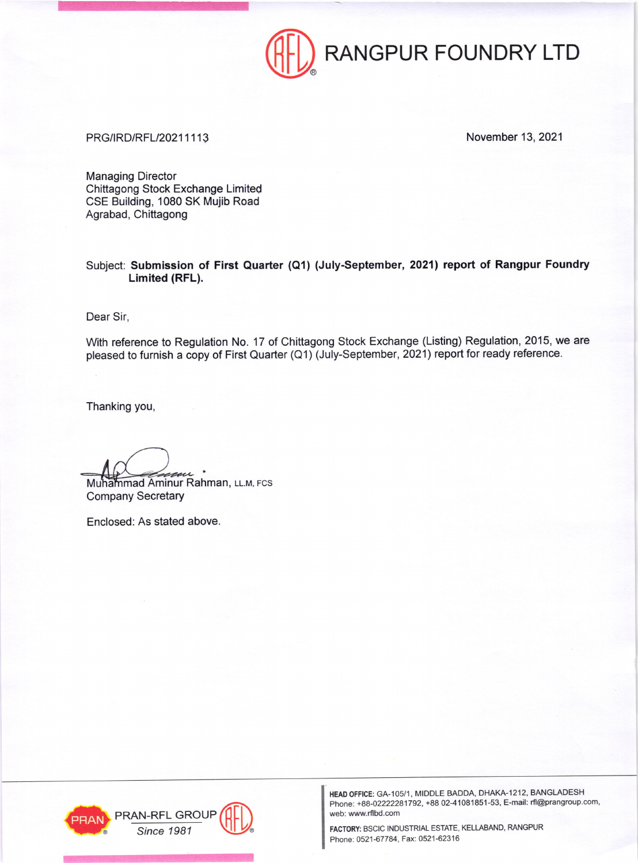

## PRG/IRD/RFL/20211113 November 13, 2021

Managing Director Chittagong Stock Exchange Limited CSE Building, 1080 SK Mujib Road Agrabad, Chittagong

Subject: Submission of First Quarter (Q1) (July-September, 2021) report of Rangpur Foundry Limited (RFL).

Dear Sir,

With reference to Regulation No. 17 of Chittagong Stock Exchange (Listing) Regulation, 2015, we are pleased to furnish a copy of First Quarter (Q1) (July-September, 2021) report for ready reference.

Thanking you,

Muhammad Aminur Rahman, ււ.м, ғcs Company Secretary

Enclosed: As stated above



HEAD OFFICE: GA-105/1, MIDDLE BADDA, DHAKA-1212, BANGLADESH Phone: +88-02222281792, +88 02-41081851-53, E-mail: rfl@prangroup.com, web: www.rflbd.com

Phone: 0521-67784, Fax: 0521-62316